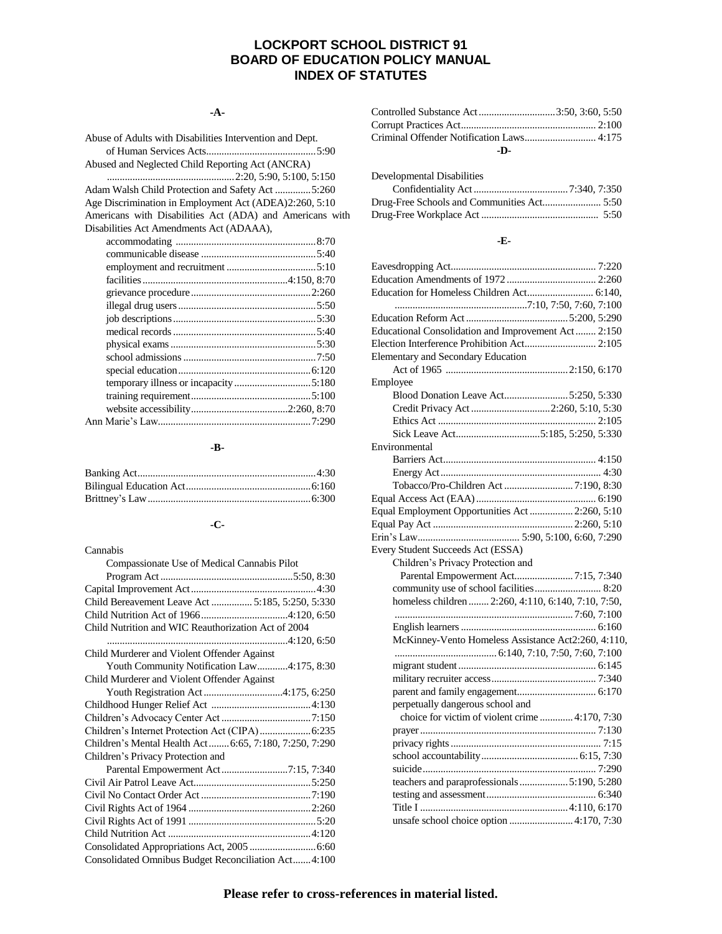# **LOCKPORT SCHOOL DISTRICT 91 BOARD OF EDUCATION POLICY MANUAL INDEX OF STATUTES**

#### **-A-**

| Abuse of Adults with Disabilities Intervention and Dept. |  |
|----------------------------------------------------------|--|
|                                                          |  |
| Abused and Neglected Child Reporting Act (ANCRA)         |  |
|                                                          |  |
| Adam Walsh Child Protection and Safety Act 5:260         |  |
| Age Discrimination in Employment Act (ADEA)2:260, 5:10   |  |
| Americans with Disabilities Act (ADA) and Americans with |  |
| Disabilities Act Amendments Act (ADAAA),                 |  |
|                                                          |  |
|                                                          |  |
|                                                          |  |

# **-B-**

# **-C-**

#### Cannabis

| Compassionate Use of Medical Cannabis Pilot            |
|--------------------------------------------------------|
|                                                        |
|                                                        |
| Child Bereavement Leave Act  5:185, 5:250, 5:330       |
|                                                        |
| Child Nutrition and WIC Reauthorization Act of 2004    |
|                                                        |
| Child Murderer and Violent Offender Against            |
| Youth Community Notification Law4:175, 8:30            |
| Child Murderer and Violent Offender Against            |
|                                                        |
|                                                        |
|                                                        |
|                                                        |
| Children's Mental Health Act 6:65, 7:180, 7:250, 7:290 |
| Children's Privacy Protection and                      |
| Parental Empowerment Act7:15, 7:340                    |
|                                                        |
|                                                        |
|                                                        |
|                                                        |
|                                                        |
| Consolidated Appropriations Act, 2005  6:60            |
| Consolidated Omnibus Budget Reconciliation Act 4:100   |

| Controlled Substance Act3:50, 3:60, 5:50 |  |
|------------------------------------------|--|
|                                          |  |
|                                          |  |
| .D.                                      |  |

| Developmental Disabilities |  |
|----------------------------|--|
|                            |  |
|                            |  |
|                            |  |

#### **-E-**

| Education for Homeless Children Act 6:140,          |
|-----------------------------------------------------|
|                                                     |
|                                                     |
| Educational Consolidation and Improvement Act 2:150 |
| Election Interference Prohibition Act 2:105         |
| Elementary and Secondary Education                  |
|                                                     |
| Employee                                            |
| Blood Donation Leave Act5:250, 5:330                |
| Credit Privacy Act 2:260, 5:10, 5:30                |
|                                                     |
|                                                     |
| Environmental                                       |
|                                                     |
|                                                     |
|                                                     |
|                                                     |
| Equal Employment Opportunities Act  2:260, 5:10     |
|                                                     |
|                                                     |
| Every Student Succeeds Act (ESSA)                   |
| Children's Privacy Protection and                   |
| Parental Empowerment Act7:15, 7:340                 |
| community use of school facilities 8:20             |
| homeless children  2:260, 4:110, 6:140, 7:10, 7:50, |
|                                                     |
|                                                     |
| McKinney-Vento Homeless Assistance Act2:260, 4:110, |
|                                                     |
|                                                     |
|                                                     |
|                                                     |
| perpetually dangerous school and                    |
| choice for victim of violent crime  4:170, 7:30     |
|                                                     |
|                                                     |
|                                                     |
|                                                     |
| teachers and paraprofessionals5:190, 5:280          |
|                                                     |
|                                                     |
| unsafe school choice option  4:170, 7:30            |
|                                                     |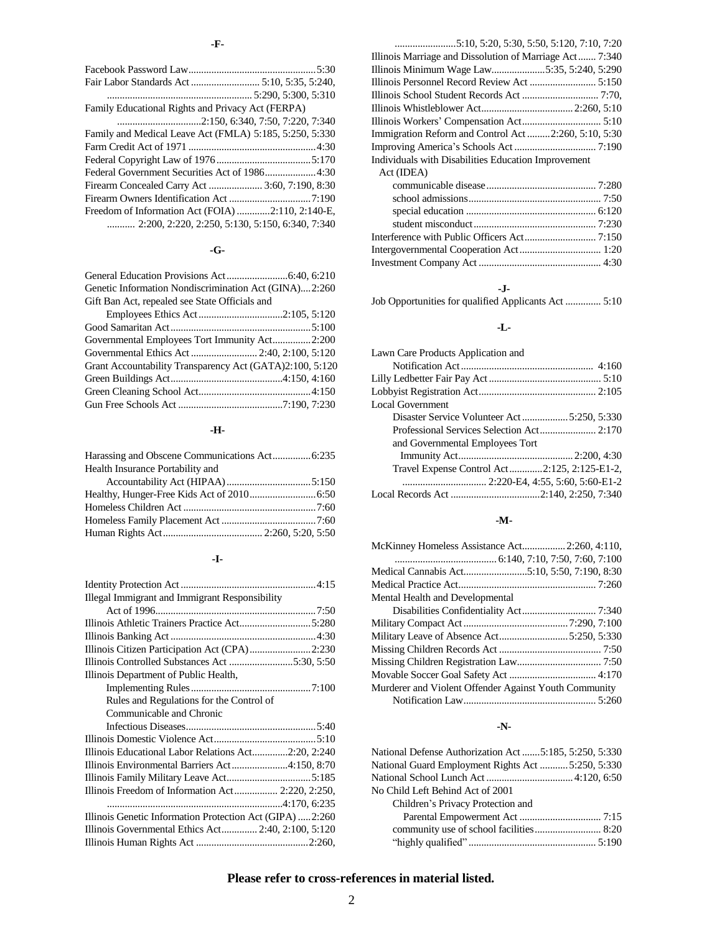## **-G-**

| Genetic Information Nondiscrimination Act (GINA)2:260 |  |
|-------------------------------------------------------|--|
| Gift Ban Act, repealed see State Officials and        |  |

| Governmental Employees Tort Immunity Act2:200            |  |
|----------------------------------------------------------|--|
|                                                          |  |
| Grant Accountability Transparency Act (GATA)2:100, 5:120 |  |
|                                                          |  |
|                                                          |  |
|                                                          |  |

## **-H-**

| Harassing and Obscene Communications Act 6:235 |  |
|------------------------------------------------|--|
| Health Insurance Portability and               |  |
|                                                |  |
|                                                |  |
|                                                |  |
|                                                |  |
|                                                |  |

## **-I-**

| Illegal Immigrant and Immigrant Responsibility           |  |
|----------------------------------------------------------|--|
|                                                          |  |
|                                                          |  |
|                                                          |  |
| Illinois Citizen Participation Act (CPA)2:230            |  |
| Illinois Controlled Substances Act 5:30, 5:50            |  |
| Illinois Department of Public Health,                    |  |
|                                                          |  |
| Rules and Regulations for the Control of                 |  |
| Communicable and Chronic                                 |  |
|                                                          |  |
|                                                          |  |
|                                                          |  |
| Illinois Educational Labor Relations Act2:20, 2:240      |  |
| Illinois Environmental Barriers Act4:150, 8:70           |  |
|                                                          |  |
|                                                          |  |
|                                                          |  |
| Illinois Genetic Information Protection Act (GIPA) 2:260 |  |
| Illinois Governmental Ethics Act 2:40, 2:100, 5:120      |  |
|                                                          |  |

| Illinois Minimum Wage Law5:35, 5:240, 5:290         |
|-----------------------------------------------------|
|                                                     |
|                                                     |
|                                                     |
|                                                     |
| Immigration Reform and Control Act2:260, 5:10, 5:30 |
|                                                     |
|                                                     |
| Individuals with Disabilities Education Improvement |
| Act (IDEA)                                          |
|                                                     |
|                                                     |
|                                                     |
|                                                     |
|                                                     |
|                                                     |

## **-J-**

Job Opportunities for qualified Applicants Act .............. 5:10

#### **-L-**

| Lawn Care Products Application and           |  |
|----------------------------------------------|--|
|                                              |  |
|                                              |  |
|                                              |  |
| Local Government                             |  |
|                                              |  |
|                                              |  |
| and Governmental Employees Tort              |  |
|                                              |  |
| Travel Expense Control Act2:125, 2:125-E1-2, |  |
|                                              |  |
|                                              |  |
|                                              |  |

## **-M-**

| McKinney Homeless Assistance Act 2:260, 4:110,        |  |
|-------------------------------------------------------|--|
|                                                       |  |
|                                                       |  |
|                                                       |  |
| Mental Health and Developmental                       |  |
|                                                       |  |
|                                                       |  |
| Military Leave of Absence Act5:250, 5:330             |  |
|                                                       |  |
|                                                       |  |
|                                                       |  |
| Murderer and Violent Offender Against Youth Community |  |
|                                                       |  |

## **-N-**

| National Defense Authorization Act 5:185, 5:250, 5:330 |  |
|--------------------------------------------------------|--|
| National Guard Employment Rights Act  5:250, 5:330     |  |
|                                                        |  |
| No Child Left Behind Act of 2001                       |  |
| Children's Privacy Protection and                      |  |
|                                                        |  |
|                                                        |  |
|                                                        |  |

# **Please refer to cross-references in material listed.**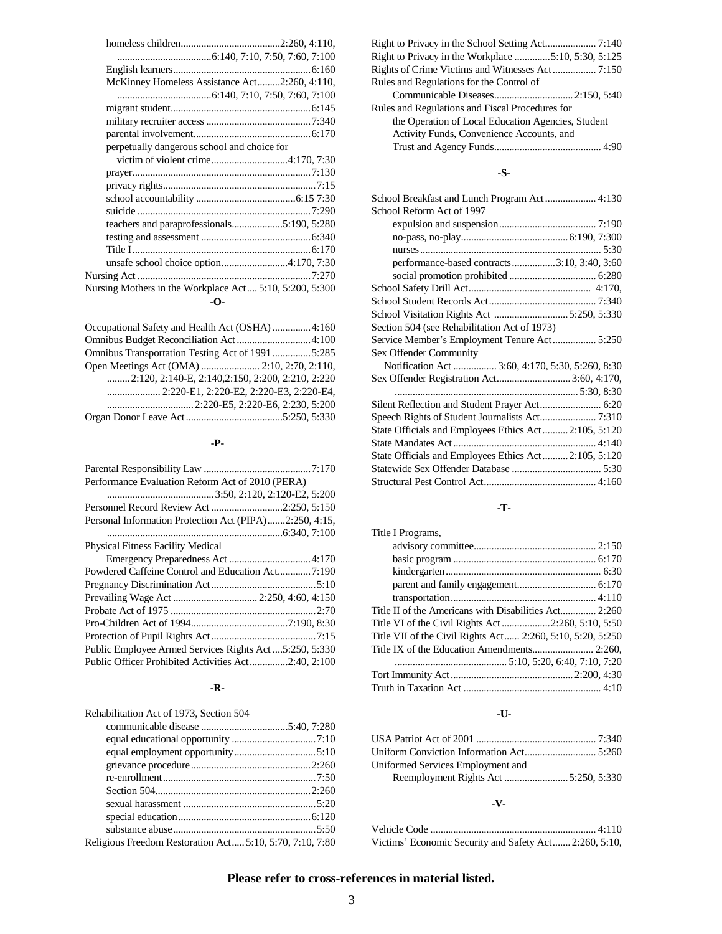| McKinney Homeless Assistance Act2:260, 4:110,           |
|---------------------------------------------------------|
|                                                         |
|                                                         |
|                                                         |
|                                                         |
| perpetually dangerous school and choice for             |
|                                                         |
|                                                         |
|                                                         |
|                                                         |
|                                                         |
|                                                         |
|                                                         |
|                                                         |
|                                                         |
|                                                         |
| Nursing Mothers in the Workplace Act 5:10, 5:200, 5:300 |
| -0-                                                     |

| Occupational Safety and Health Act (OSHA) 4:160                    |  |
|--------------------------------------------------------------------|--|
| Omnibus Budget Reconciliation Act4:100                             |  |
| Omnibus Transportation Testing Act of 1991 5:285                   |  |
|                                                                    |  |
| $1, 2, 120, 2, 140 - E$ , $2, 140, 2, 150, 2, 200, 2, 210, 2, 220$ |  |
|                                                                    |  |
|                                                                    |  |
|                                                                    |  |

#### **-P-**

| Performance Evaluation Reform Act of 2010 (PERA)        |
|---------------------------------------------------------|
|                                                         |
| Personnel Record Review Act 2:250, 5:150                |
| Personal Information Protection Act (PIPA)2:250, 4:15,  |
|                                                         |
| <b>Physical Fitness Facility Medical</b>                |
|                                                         |
| Powdered Caffeine Control and Education Act7:190        |
|                                                         |
|                                                         |
|                                                         |
|                                                         |
|                                                         |
| Public Employee Armed Services Rights Act  5:250, 5:330 |
| Public Officer Prohibited Activities Act2:40, 2:100     |
|                                                         |

#### **-R-**

| Rehabilitation Act of 1973, Section 504                  |  |
|----------------------------------------------------------|--|
|                                                          |  |
|                                                          |  |
|                                                          |  |
|                                                          |  |
|                                                          |  |
|                                                          |  |
|                                                          |  |
|                                                          |  |
|                                                          |  |
| Religious Freedom Restoration Act 5:10, 5:70, 7:10, 7:80 |  |

| Rights of Crime Victims and Witnesses Act 7:150    |
|----------------------------------------------------|
| Rules and Regulations for the Control of           |
|                                                    |
| Rules and Regulations and Fiscal Procedures for    |
| the Operation of Local Education Agencies, Student |
| Activity Funds, Convenience Accounts, and          |
|                                                    |

## **-S-**

| School Reform Act of 1997                             |  |
|-------------------------------------------------------|--|
|                                                       |  |
|                                                       |  |
|                                                       |  |
| performance-based contracts3:10, 3:40, 3:60           |  |
|                                                       |  |
|                                                       |  |
|                                                       |  |
| School Visitation Rights Act 5:250, 5:330             |  |
| Section 504 (see Rehabilitation Act of 1973)          |  |
|                                                       |  |
| Sex Offender Community                                |  |
| Notification Act  3:60, 4:170, 5:30, 5:260, 8:30      |  |
| Sex Offender Registration Act 3:60, 4:170,            |  |
|                                                       |  |
| Silent Reflection and Student Prayer Act 6:20         |  |
| Speech Rights of Student Journalists Act 7:310        |  |
| State Officials and Employees Ethics Act 2:105, 5:120 |  |
|                                                       |  |
| State Officials and Employees Ethics Act2:105, 5:120  |  |
|                                                       |  |
|                                                       |  |

# **-T-**

| Title I Programs,                                          |
|------------------------------------------------------------|
|                                                            |
|                                                            |
|                                                            |
|                                                            |
|                                                            |
| Title II of the Americans with Disabilities Act 2:260      |
| Title VI of the Civil Rights Act2:260, 5:10, 5:50          |
| Title VII of the Civil Rights Act 2:260, 5:10, 5:20, 5:250 |
|                                                            |
|                                                            |
|                                                            |
|                                                            |

## **-U-**

| Uniformed Services Employment and |  |
|-----------------------------------|--|
|                                   |  |

# **-V-**

| Victims' Economic Security and Safety Act 2:260, 5:10, |  |
|--------------------------------------------------------|--|

# **Please refer to cross-references in material listed.**